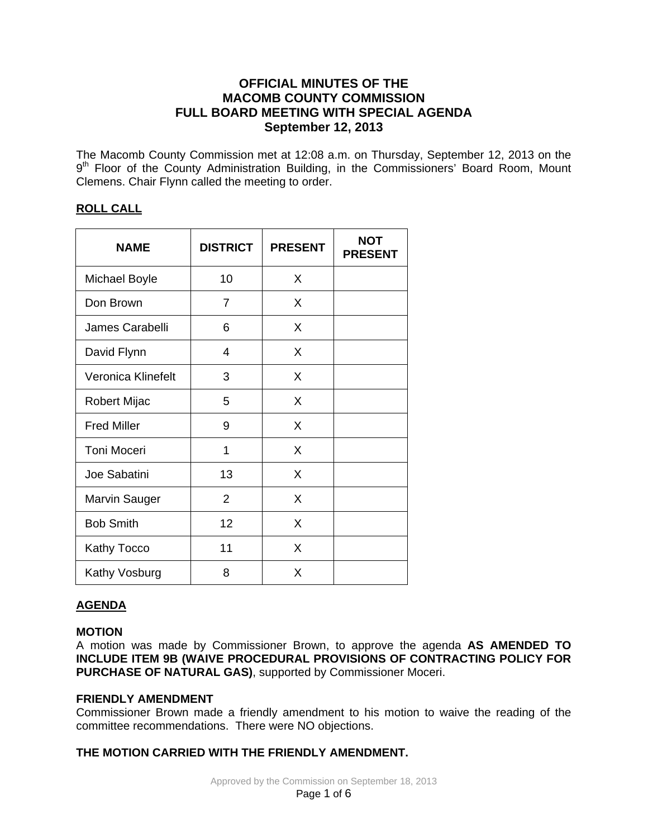# **OFFICIAL MINUTES OF THE MACOMB COUNTY COMMISSION FULL BOARD MEETING WITH SPECIAL AGENDA September 12, 2013**

The Macomb County Commission met at 12:08 a.m. on Thursday, September 12, 2013 on the 9<sup>th</sup> Floor of the County Administration Building, in the Commissioners' Board Room, Mount Clemens. Chair Flynn called the meeting to order.

# **ROLL CALL**

| <b>NAME</b>          | <b>DISTRICT</b> | <b>PRESENT</b> | <b>NOT</b><br><b>PRESENT</b> |
|----------------------|-----------------|----------------|------------------------------|
| <b>Michael Boyle</b> | 10              | X              |                              |
| Don Brown            | $\overline{7}$  | X              |                              |
| James Carabelli      | 6               | X              |                              |
| David Flynn          | 4               | X              |                              |
| Veronica Klinefelt   | 3               | X              |                              |
| <b>Robert Mijac</b>  | 5               | X              |                              |
| <b>Fred Miller</b>   | 9               | X              |                              |
| <b>Toni Moceri</b>   | 1               | X              |                              |
| Joe Sabatini         | 13              | X              |                              |
| <b>Marvin Sauger</b> | 2               | X              |                              |
| <b>Bob Smith</b>     | 12              | X              |                              |
| Kathy Tocco          | 11              | X              |                              |
| Kathy Vosburg        | 8               | X              |                              |

# **AGENDA**

# **MOTION**

A motion was made by Commissioner Brown, to approve the agenda **AS AMENDED TO INCLUDE ITEM 9B (WAIVE PROCEDURAL PROVISIONS OF CONTRACTING POLICY FOR PURCHASE OF NATURAL GAS)**, supported by Commissioner Moceri.

# **FRIENDLY AMENDMENT**

Commissioner Brown made a friendly amendment to his motion to waive the reading of the committee recommendations. There were NO objections.

# **THE MOTION CARRIED WITH THE FRIENDLY AMENDMENT.**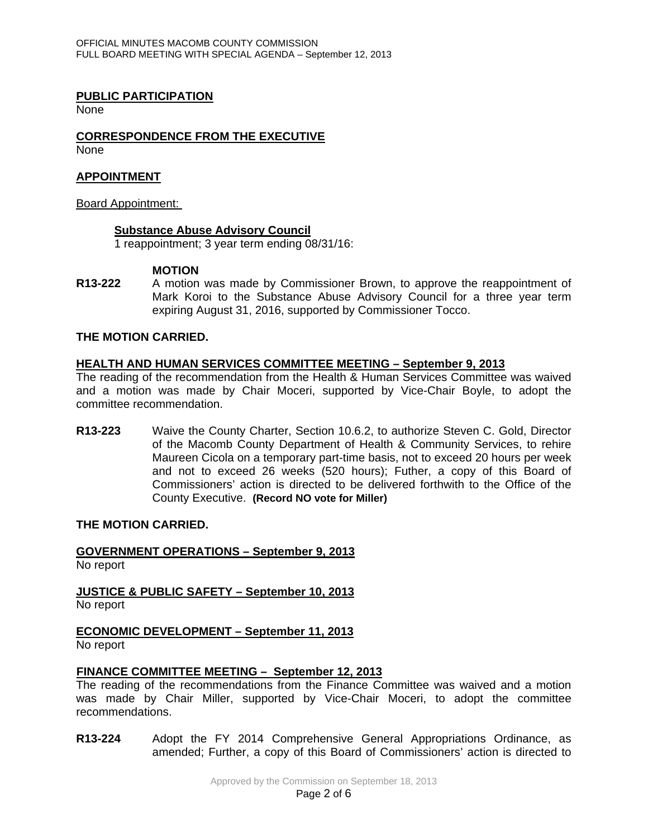## **PUBLIC PARTICIPATION**

**None** 

#### **CORRESPONDENCE FROM THE EXECUTIVE** None

## **APPOINTMENT**

## Board Appointment:

## **Substance Abuse Advisory Council**

1 reappointment; 3 year term ending 08/31/16:

## **MOTION**

**R13-222** A motion was made by Commissioner Brown, to approve the reappointment of Mark Koroi to the Substance Abuse Advisory Council for a three year term expiring August 31, 2016, supported by Commissioner Tocco.

# **THE MOTION CARRIED.**

## **HEALTH AND HUMAN SERVICES COMMITTEE MEETING – September 9, 2013**

The reading of the recommendation from the Health & Human Services Committee was waived and a motion was made by Chair Moceri, supported by Vice-Chair Boyle, to adopt the committee recommendation.

**R13-223** Waive the County Charter, Section 10.6.2, to authorize Steven C. Gold, Director of the Macomb County Department of Health & Community Services, to rehire Maureen Cicola on a temporary part-time basis, not to exceed 20 hours per week and not to exceed 26 weeks (520 hours); Futher, a copy of this Board of Commissioners' action is directed to be delivered forthwith to the Office of the County Executive. **(Record NO vote for Miller)**

## **THE MOTION CARRIED.**

# **GOVERNMENT OPERATIONS – September 9, 2013**

No report

**JUSTICE & PUBLIC SAFETY – September 10, 2013**

No report

## **ECONOMIC DEVELOPMENT – September 11, 2013**

No report

## **FINANCE COMMITTEE MEETING – September 12, 2013**

The reading of the recommendations from the Finance Committee was waived and a motion was made by Chair Miller, supported by Vice-Chair Moceri, to adopt the committee recommendations.

**R13-224** Adopt the FY 2014 Comprehensive General Appropriations Ordinance, as amended; Further, a copy of this Board of Commissioners' action is directed to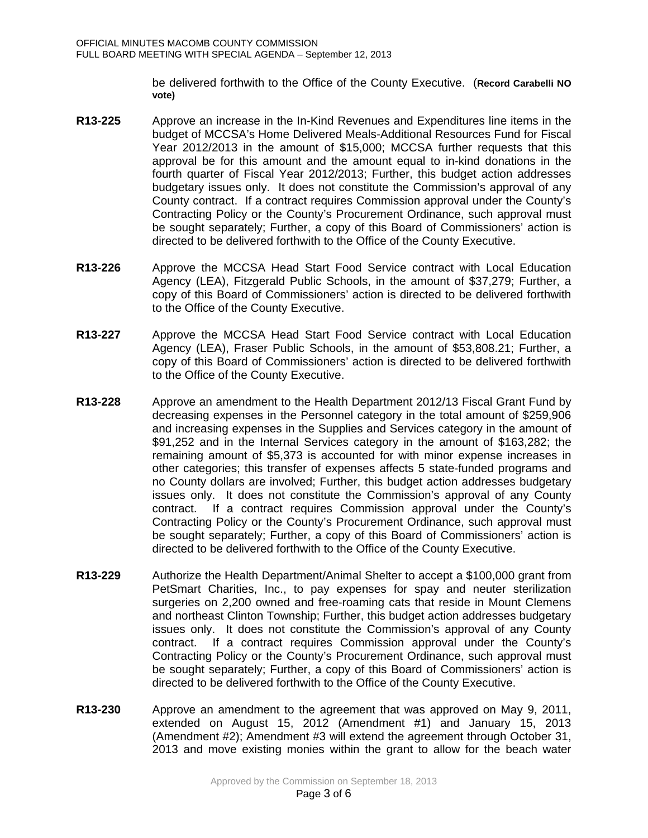be delivered forthwith to the Office of the County Executive. (**Record Carabelli NO vote)** 

- **R13-225** Approve an increase in the In-Kind Revenues and Expenditures line items in the budget of MCCSA's Home Delivered Meals-Additional Resources Fund for Fiscal Year 2012/2013 in the amount of \$15,000; MCCSA further requests that this approval be for this amount and the amount equal to in-kind donations in the fourth quarter of Fiscal Year 2012/2013; Further, this budget action addresses budgetary issues only. It does not constitute the Commission's approval of any County contract. If a contract requires Commission approval under the County's Contracting Policy or the County's Procurement Ordinance, such approval must be sought separately; Further, a copy of this Board of Commissioners' action is directed to be delivered forthwith to the Office of the County Executive.
- **R13-226** Approve the MCCSA Head Start Food Service contract with Local Education Agency (LEA), Fitzgerald Public Schools, in the amount of \$37,279; Further, a copy of this Board of Commissioners' action is directed to be delivered forthwith to the Office of the County Executive.
- **R13-227** Approve the MCCSA Head Start Food Service contract with Local Education Agency (LEA), Fraser Public Schools, in the amount of \$53,808.21; Further, a copy of this Board of Commissioners' action is directed to be delivered forthwith to the Office of the County Executive.
- **R13-228** Approve an amendment to the Health Department 2012/13 Fiscal Grant Fund by decreasing expenses in the Personnel category in the total amount of \$259,906 and increasing expenses in the Supplies and Services category in the amount of \$91,252 and in the Internal Services category in the amount of \$163,282; the remaining amount of \$5,373 is accounted for with minor expense increases in other categories; this transfer of expenses affects 5 state-funded programs and no County dollars are involved; Further, this budget action addresses budgetary issues only. It does not constitute the Commission's approval of any County contract. If a contract requires Commission approval under the County's Contracting Policy or the County's Procurement Ordinance, such approval must be sought separately; Further, a copy of this Board of Commissioners' action is directed to be delivered forthwith to the Office of the County Executive.
- **R13-229** Authorize the Health Department/Animal Shelter to accept a \$100,000 grant from PetSmart Charities, Inc., to pay expenses for spay and neuter sterilization surgeries on 2,200 owned and free-roaming cats that reside in Mount Clemens and northeast Clinton Township; Further, this budget action addresses budgetary issues only. It does not constitute the Commission's approval of any County contract. If a contract requires Commission approval under the County's Contracting Policy or the County's Procurement Ordinance, such approval must be sought separately; Further, a copy of this Board of Commissioners' action is directed to be delivered forthwith to the Office of the County Executive.
- **R13-230** Approve an amendment to the agreement that was approved on May 9, 2011, extended on August 15, 2012 (Amendment #1) and January 15, 2013 (Amendment #2); Amendment #3 will extend the agreement through October 31, 2013 and move existing monies within the grant to allow for the beach water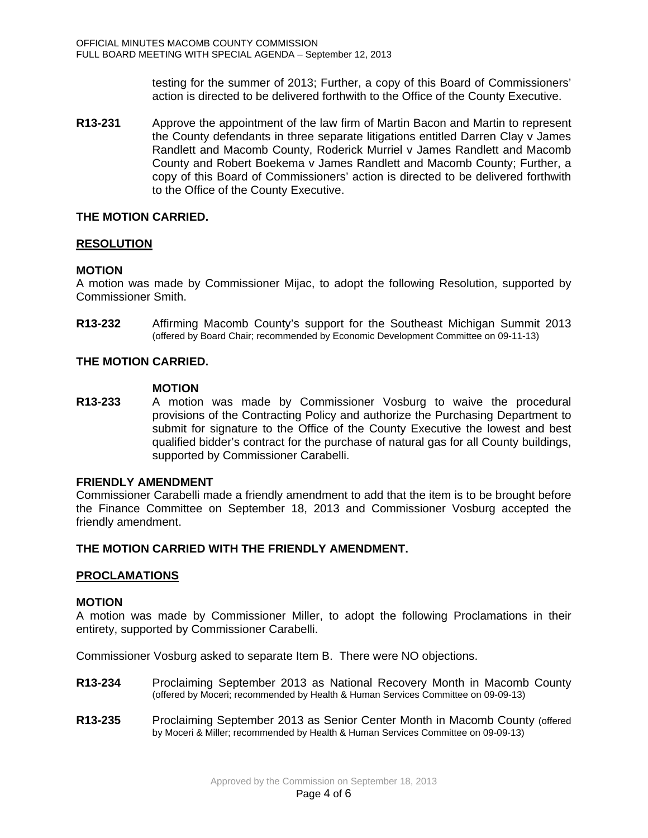testing for the summer of 2013; Further, a copy of this Board of Commissioners' action is directed to be delivered forthwith to the Office of the County Executive.

**R13-231** Approve the appointment of the law firm of Martin Bacon and Martin to represent the County defendants in three separate litigations entitled Darren Clay v James Randlett and Macomb County, Roderick Murriel v James Randlett and Macomb County and Robert Boekema v James Randlett and Macomb County; Further, a copy of this Board of Commissioners' action is directed to be delivered forthwith to the Office of the County Executive.

## **THE MOTION CARRIED.**

## **RESOLUTION**

# **MOTION**

A motion was made by Commissioner Mijac, to adopt the following Resolution, supported by Commissioner Smith.

**R13-232** Affirming Macomb County's support for the Southeast Michigan Summit 2013 (offered by Board Chair; recommended by Economic Development Committee on 09-11-13)

# **THE MOTION CARRIED.**

## **MOTION**

**R13-233** A motion was made by Commissioner Vosburg to waive the procedural provisions of the Contracting Policy and authorize the Purchasing Department to submit for signature to the Office of the County Executive the lowest and best qualified bidder's contract for the purchase of natural gas for all County buildings, supported by Commissioner Carabelli.

## **FRIENDLY AMENDMENT**

Commissioner Carabelli made a friendly amendment to add that the item is to be brought before the Finance Committee on September 18, 2013 and Commissioner Vosburg accepted the friendly amendment.

# **THE MOTION CARRIED WITH THE FRIENDLY AMENDMENT.**

## **PROCLAMATIONS**

## **MOTION**

A motion was made by Commissioner Miller, to adopt the following Proclamations in their entirety, supported by Commissioner Carabelli.

Commissioner Vosburg asked to separate Item B. There were NO objections.

- **R13-234** Proclaiming September 2013 as National Recovery Month in Macomb County (offered by Moceri; recommended by Health & Human Services Committee on 09-09-13)
- **R13-235** Proclaiming September 2013 as Senior Center Month in Macomb County (offered by Moceri & Miller; recommended by Health & Human Services Committee on 09-09-13)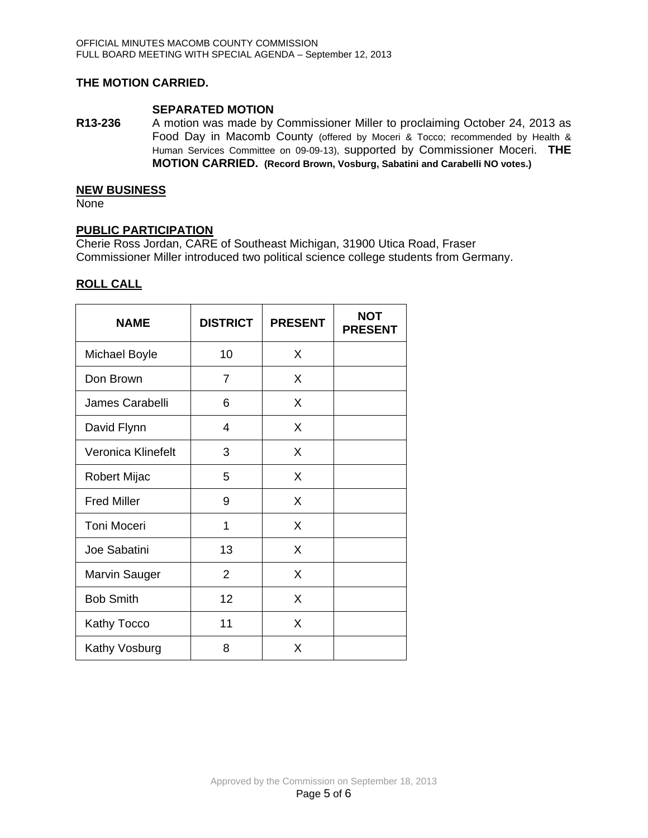# **THE MOTION CARRIED.**

**SEPARATED MOTION**<br>**R13-236** A motion was made by **R13-236** A motion was made by Commissioner Miller to proclaiming October 24, 2013 as Food Day in Macomb County (offered by Moceri & Tocco; recommended by Health & Human Services Committee on 09-09-13), supported by Commissioner Moceri. **THE MOTION CARRIED. (Record Brown, Vosburg, Sabatini and Carabelli NO votes.)**

## **NEW BUSINESS**

None

## **PUBLIC PARTICIPATION**

Cherie Ross Jordan, CARE of Southeast Michigan, 31900 Utica Road, Fraser Commissioner Miller introduced two political science college students from Germany.

# **ROLL CALL**

| <b>NAME</b>          | <b>DISTRICT</b> | <b>PRESENT</b> | NOT<br><b>PRESENT</b> |
|----------------------|-----------------|----------------|-----------------------|
| <b>Michael Boyle</b> | 10              | X              |                       |
| Don Brown            | 7               | X              |                       |
| James Carabelli      | 6               | X              |                       |
| David Flynn          | 4               | X              |                       |
| Veronica Klinefelt   | 3               | X              |                       |
| Robert Mijac         | 5               | X              |                       |
| <b>Fred Miller</b>   | 9               | X              |                       |
| <b>Toni Moceri</b>   | 1               | X              |                       |
| Joe Sabatini         | 13              | X              |                       |
| <b>Marvin Sauger</b> | $\overline{2}$  | X              |                       |
| <b>Bob Smith</b>     | 12              | X              |                       |
| <b>Kathy Tocco</b>   | 11              | X              |                       |
| Kathy Vosburg        | 8               | X              |                       |